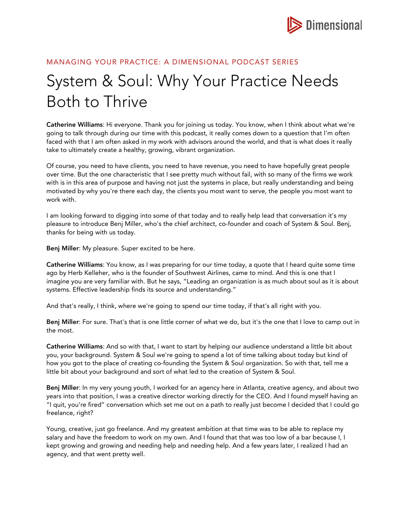

## MANAGING YOUR PRACTICE: A DIMENSIONAL PODCAST SERIES

## System & Soul: Why Your Practice Needs Both to Thrive

Catherine Williams: Hi everyone. Thank you for joining us today. You know, when I think about what we're going to talk through during our time with this podcast, it really comes down to a question that I'm often faced with that I am often asked in my work with advisors around the world, and that is what does it really take to ultimately create a healthy, growing, vibrant organization.

Of course, you need to have clients, you need to have revenue, you need to have hopefully great people over time. But the one characteristic that I see pretty much without fail, with so many of the firms we work with is in this area of purpose and having not just the systems in place, but really understanding and being motivated by why you're there each day, the clients you most want to serve, the people you most want to work with.

I am looking forward to digging into some of that today and to really help lead that conversation it's my pleasure to introduce Benj Miller, who's the chief architect, co-founder and coach of System & Soul. Benj, thanks for being with us today.

Benj Miller: My pleasure. Super excited to be here.

Catherine Williams: You know, as I was preparing for our time today, a quote that I heard quite some time ago by Herb Kelleher, who is the founder of Southwest Airlines, came to mind. And this is one that I imagine you are very familiar with. But he says, "Leading an organization is as much about soul as it is about systems. Effective leadership finds its source and understanding."

And that's really, I think, where we're going to spend our time today, if that's all right with you.

Benj Miller: For sure. That's that is one little corner of what we do, but it's the one that I love to camp out in the most.

Catherine Williams: And so with that, I want to start by helping our audience understand a little bit about you, your background. System & Soul we're going to spend a lot of time talking about today but kind of how you got to the place of creating co-founding the System & Soul organization. So with that, tell me a little bit about your background and sort of what led to the creation of System & Soul.

Benj Miller: In my very young youth, I worked for an agency here in Atlanta, creative agency, and about two years into that position, I was a creative director working directly for the CEO. And I found myself having an "I quit, you're fired" conversation which set me out on a path to really just become I decided that I could go freelance, right?

Young, creative, just go freelance. And my greatest ambition at that time was to be able to replace my salary and have the freedom to work on my own. And I found that that was too low of a bar because I, I kept growing and growing and needing help and needing help. And a few years later, I realized I had an agency, and that went pretty well.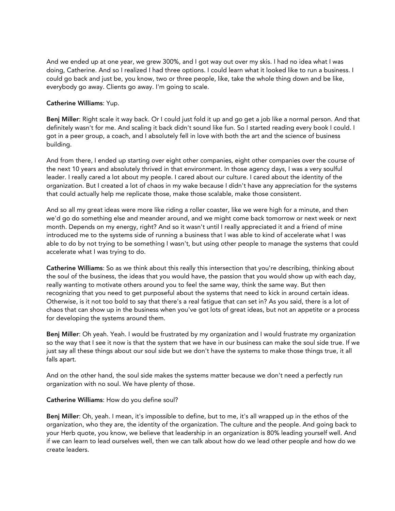And we ended up at one year, we grew 300%, and I got way out over my skis. I had no idea what I was doing, Catherine. And so I realized I had three options. I could learn what it looked like to run a business. I could go back and just be, you know, two or three people, like, take the whole thing down and be like, everybody go away. Clients go away. I'm going to scale.

## Catherine Williams: Yup.

Benj Miller: Right scale it way back. Or I could just fold it up and go get a job like a normal person. And that definitely wasn't for me. And scaling it back didn't sound like fun. So I started reading every book I could. I got in a peer group, a coach, and I absolutely fell in love with both the art and the science of business building.

And from there, I ended up starting over eight other companies, eight other companies over the course of the next 10 years and absolutely thrived in that environment. In those agency days, I was a very soulful leader. I really cared a lot about my people. I cared about our culture. I cared about the identity of the organization. But I created a lot of chaos in my wake because I didn't have any appreciation for the systems that could actually help me replicate those, make those scalable, make those consistent.

And so all my great ideas were more like riding a roller coaster, like we were high for a minute, and then we'd go do something else and meander around, and we might come back tomorrow or next week or next month. Depends on my energy, right? And so it wasn't until I really appreciated it and a friend of mine introduced me to the systems side of running a business that I was able to kind of accelerate what I was able to do by not trying to be something I wasn't, but using other people to manage the systems that could accelerate what I was trying to do.

Catherine Williams: So as we think about this really this intersection that you're describing, thinking about the soul of the business, the ideas that you would have, the passion that you would show up with each day, really wanting to motivate others around you to feel the same way, think the same way. But then recognizing that you need to get purposeful about the systems that need to kick in around certain ideas. Otherwise, is it not too bold to say that there's a real fatigue that can set in? As you said, there is a lot of chaos that can show up in the business when you've got lots of great ideas, but not an appetite or a process for developing the systems around them.

Benj Miller: Oh yeah. Yeah. I would be frustrated by my organization and I would frustrate my organization so the way that I see it now is that the system that we have in our business can make the soul side true. If we just say all these things about our soul side but we don't have the systems to make those things true, it all falls apart.

And on the other hand, the soul side makes the systems matter because we don't need a perfectly run organization with no soul. We have plenty of those.

## Catherine Williams: How do you define soul?

Benj Miller: Oh, yeah. I mean, it's impossible to define, but to me, it's all wrapped up in the ethos of the organization, who they are, the identity of the organization. The culture and the people. And going back to your Herb quote, you know, we believe that leadership in an organization is 80% leading yourself well. And if we can learn to lead ourselves well, then we can talk about how do we lead other people and how do we create leaders.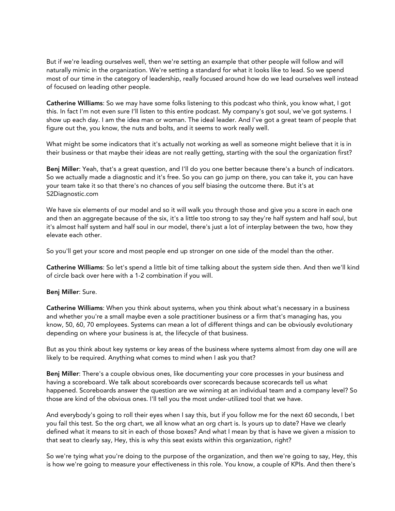But if we're leading ourselves well, then we're setting an example that other people will follow and will naturally mimic in the organization. We're setting a standard for what it looks like to lead. So we spend most of our time in the category of leadership, really focused around how do we lead ourselves well instead of focused on leading other people.

Catherine Williams: So we may have some folks listening to this podcast who think, you know what, I got this. In fact I'm not even sure I'll listen to this entire podcast. My company's got soul, we've got systems. I show up each day. I am the idea man or woman. The ideal leader. And I've got a great team of people that figure out the, you know, the nuts and bolts, and it seems to work really well.

What might be some indicators that it's actually not working as well as someone might believe that it is in their business or that maybe their ideas are not really getting, starting with the soul the organization first?

Benj Miller: Yeah, that's a great question, and I'll do you one better because there's a bunch of indicators. So we actually made a diagnostic and it's free. So you can go jump on there, you can take it, you can have your team take it so that there's no chances of you self biasing the outcome there. But it's at S2Diagnostic.com

We have six elements of our model and so it will walk you through those and give you a score in each one and then an aggregate because of the six, it's a little too strong to say they're half system and half soul, but it's almost half system and half soul in our model, there's just a lot of interplay between the two, how they elevate each other.

So you'll get your score and most people end up stronger on one side of the model than the other.

Catherine Williams: So let's spend a little bit of time talking about the system side then. And then we'll kind of circle back over here with a 1-2 combination if you will.

Benj Miller: Sure.

Catherine Williams: When you think about systems, when you think about what's necessary in a business and whether you're a small maybe even a sole practitioner business or a firm that's managing has, you know, 50, 60, 70 employees. Systems can mean a lot of different things and can be obviously evolutionary depending on where your business is at, the lifecycle of that business.

But as you think about key systems or key areas of the business where systems almost from day one will are likely to be required. Anything what comes to mind when I ask you that?

Benj Miller: There's a couple obvious ones, like documenting your core processes in your business and having a scoreboard. We talk about scoreboards over scorecards because scorecards tell us what happened. Scoreboards answer the question are we winning at an individual team and a company level? So those are kind of the obvious ones. I'll tell you the most under-utilized tool that we have.

And everybody's going to roll their eyes when I say this, but if you follow me for the next 60 seconds, I bet you fail this test. So the org chart, we all know what an org chart is. Is yours up to date? Have we clearly defined what it means to sit in each of those boxes? And what I mean by that is have we given a mission to that seat to clearly say, Hey, this is why this seat exists within this organization, right?

So we're tying what you're doing to the purpose of the organization, and then we're going to say, Hey, this is how we're going to measure your effectiveness in this role. You know, a couple of KPIs. And then there's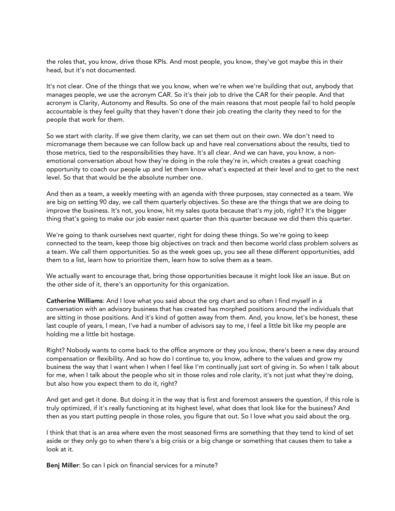the roles that, you know, drive those KPIs. And most people, you know, they've got maybe this in their head, but it's not documented.

It's not clear. One of the things that we you know, when we're when we're building that out, anybody that manages people, we use the acronym CAR. So it's their job to drive the CAR for their people. And that acronym is Clarity, Autonomy and Results. So one of the main reasons that most people fail to hold people accountable is they feel guilty that they haven't done their job creating the clarity they need to for the people that work for them.

So we start with clarity. If we give them clarity, we can set them out on their own. We don't need to micromanage them because we can follow back up and have real conversations about the results, tied to those metrics, tied to the responsibilities they have. It's all clear. And we can have, you know, a nonemotional conversation about how they're doing in the role they're in, which creates a great coaching opportunity to coach our people up and let them know what's expected at their level and to get to the next level. So that that would be the absolute number one.

And then as a team, a weekly meeting with an agenda with three purposes, stay connected as a team. We are big on setting 90 day, we call them quarterly objectives. So these are the things that we are doing to improve the business. It's not, you know, hit my sales quota because that's my job, right? It's the bigger thing that's going to make our job easier next quarter than this quarter because we did them this quarter.

We're going to thank ourselves next quarter, right for doing these things. So we're going to keep connected to the team, keep those big objectives on track and then become world class problem solvers as a team. We call them opportunities. So as the week goes up, you see all these different opportunities, add them to a list, learn how to prioritize them, learn how to solve them as a team.

We actually want to encourage that, bring those opportunities because it might look like an issue. But on the other side of it, there's an opportunity for this organization.

Catherine Williams: And I love what you said about the org chart and so often I find myself in a conversation with an advisory business that has created has morphed positions around the individuals that are sitting in those positions. And it's kind of gotten away from them. And, you know, let's be honest, these last couple of years, I mean, I've had a number of advisors say to me, I feel a little bit like my people are holding me a little bit hostage.

Right? Nobody wants to come back to the office anymore or they you know, there's been a new day around compensation or flexibility. And so how do I continue to, you know, adhere to the values and grow my business the way that I want when I when I feel like I'm continually just sort of giving in. So when I talk about for me, when I talk about the people who sit in those roles and role clarity, it's not just what they're doing, but also how you expect them to do it, right?

And get and get it done. But doing it in the way that is first and foremost answers the question, if this role is truly optimized, if it's really functioning at its highest level, what does that look like for the business? And then as you start putting people in those roles, you figure that out. So I love what you said about the org.

I think that that is an area where even the most seasoned firms are something that they tend to kind of set aside or they only go to when there's a big crisis or a big change or something that causes them to take a look at it.

Benj Miller: So can I pick on financial services for a minute?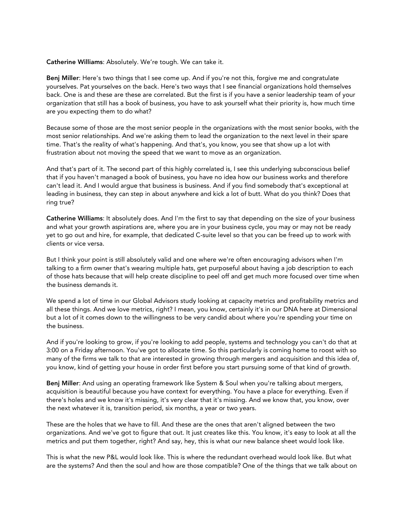Catherine Williams: Absolutely. We're tough. We can take it.

Benj Miller: Here's two things that I see come up. And if you're not this, forgive me and congratulate yourselves. Pat yourselves on the back. Here's two ways that I see financial organizations hold themselves back. One is and these are these are correlated. But the first is if you have a senior leadership team of your organization that still has a book of business, you have to ask yourself what their priority is, how much time are you expecting them to do what?

Because some of those are the most senior people in the organizations with the most senior books, with the most senior relationships. And we're asking them to lead the organization to the next level in their spare time. That's the reality of what's happening. And that's, you know, you see that show up a lot with frustration about not moving the speed that we want to move as an organization.

And that's part of it. The second part of this highly correlated is, I see this underlying subconscious belief that if you haven't managed a book of business, you have no idea how our business works and therefore can't lead it. And I would argue that business is business. And if you find somebody that's exceptional at leading in business, they can step in about anywhere and kick a lot of butt. What do you think? Does that ring true?

Catherine Williams: It absolutely does. And I'm the first to say that depending on the size of your business and what your growth aspirations are, where you are in your business cycle, you may or may not be ready yet to go out and hire, for example, that dedicated C-suite level so that you can be freed up to work with clients or vice versa.

But I think your point is still absolutely valid and one where we're often encouraging advisors when I'm talking to a firm owner that's wearing multiple hats, get purposeful about having a job description to each of those hats because that will help create discipline to peel off and get much more focused over time when the business demands it.

We spend a lot of time in our Global Advisors study looking at capacity metrics and profitability metrics and all these things. And we love metrics, right? I mean, you know, certainly it's in our DNA here at Dimensional but a lot of it comes down to the willingness to be very candid about where you're spending your time on the business.

And if you're looking to grow, if you're looking to add people, systems and technology you can't do that at 3:00 on a Friday afternoon. You've got to allocate time. So this particularly is coming home to roost with so many of the firms we talk to that are interested in growing through mergers and acquisition and this idea of, you know, kind of getting your house in order first before you start pursuing some of that kind of growth.

Benj Miller: And using an operating framework like System & Soul when you're talking about mergers, acquisition is beautiful because you have context for everything. You have a place for everything. Even if there's holes and we know it's missing, it's very clear that it's missing. And we know that, you know, over the next whatever it is, transition period, six months, a year or two years.

These are the holes that we have to fill. And these are the ones that aren't aligned between the two organizations. And we've got to figure that out. It just creates like this. You know, it's easy to look at all the metrics and put them together, right? And say, hey, this is what our new balance sheet would look like.

This is what the new P&L would look like. This is where the redundant overhead would look like. But what are the systems? And then the soul and how are those compatible? One of the things that we talk about on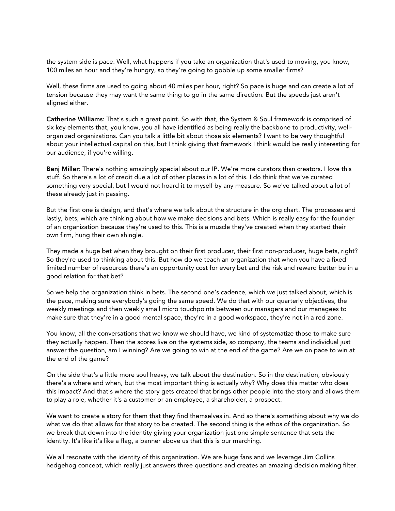the system side is pace. Well, what happens if you take an organization that's used to moving, you know, 100 miles an hour and they're hungry, so they're going to gobble up some smaller firms?

Well, these firms are used to going about 40 miles per hour, right? So pace is huge and can create a lot of tension because they may want the same thing to go in the same direction. But the speeds just aren't aligned either.

Catherine Williams: That's such a great point. So with that, the System & Soul framework is comprised of six key elements that, you know, you all have identified as being really the backbone to productivity, wellorganized organizations. Can you talk a little bit about those six elements? I want to be very thoughtful about your intellectual capital on this, but I think giving that framework I think would be really interesting for our audience, if you're willing.

Benj Miller: There's nothing amazingly special about our IP. We're more curators than creators. I love this stuff. So there's a lot of credit due a lot of other places in a lot of this. I do think that we've curated something very special, but I would not hoard it to myself by any measure. So we've talked about a lot of these already just in passing.

But the first one is design, and that's where we talk about the structure in the org chart. The processes and lastly, bets, which are thinking about how we make decisions and bets. Which is really easy for the founder of an organization because they're used to this. This is a muscle they've created when they started their own firm, hung their own shingle.

They made a huge bet when they brought on their first producer, their first non-producer, huge bets, right? So they're used to thinking about this. But how do we teach an organization that when you have a fixed limited number of resources there's an opportunity cost for every bet and the risk and reward better be in a good relation for that bet?

So we help the organization think in bets. The second one's cadence, which we just talked about, which is the pace, making sure everybody's going the same speed. We do that with our quarterly objectives, the weekly meetings and then weekly small micro touchpoints between our managers and our managees to make sure that they're in a good mental space, they're in a good workspace, they're not in a red zone.

You know, all the conversations that we know we should have, we kind of systematize those to make sure they actually happen. Then the scores live on the systems side, so company, the teams and individual just answer the question, am I winning? Are we going to win at the end of the game? Are we on pace to win at the end of the game?

On the side that's a little more soul heavy, we talk about the destination. So in the destination, obviously there's a where and when, but the most important thing is actually why? Why does this matter who does this impact? And that's where the story gets created that brings other people into the story and allows them to play a role, whether it's a customer or an employee, a shareholder, a prospect.

We want to create a story for them that they find themselves in. And so there's something about why we do what we do that allows for that story to be created. The second thing is the ethos of the organization. So we break that down into the identity giving your organization just one simple sentence that sets the identity. It's like it's like a flag, a banner above us that this is our marching.

We all resonate with the identity of this organization. We are huge fans and we leverage Jim Collins hedgehog concept, which really just answers three questions and creates an amazing decision making filter.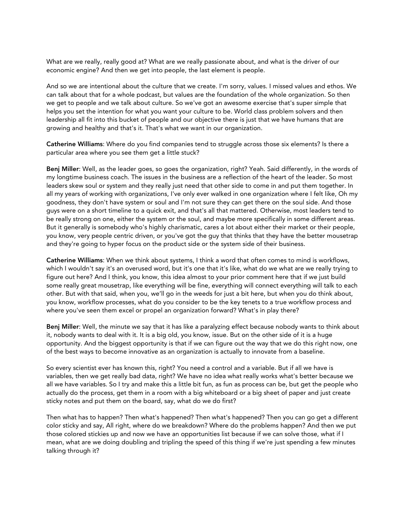What are we really, really good at? What are we really passionate about, and what is the driver of our economic engine? And then we get into people, the last element is people.

And so we are intentional about the culture that we create. I'm sorry, values. I missed values and ethos. We can talk about that for a whole podcast, but values are the foundation of the whole organization. So then we get to people and we talk about culture. So we've got an awesome exercise that's super simple that helps you set the intention for what you want your culture to be. World class problem solvers and then leadership all fit into this bucket of people and our objective there is just that we have humans that are growing and healthy and that's it. That's what we want in our organization.

Catherine Williams: Where do you find companies tend to struggle across those six elements? Is there a particular area where you see them get a little stuck?

Benj Miller: Well, as the leader goes, so goes the organization, right? Yeah. Said differently, in the words of my longtime business coach. The issues in the business are a reflection of the heart of the leader. So most leaders skew soul or system and they really just need that other side to come in and put them together. In all my years of working with organizations, I've only ever walked in one organization where I felt like, Oh my goodness, they don't have system or soul and I'm not sure they can get there on the soul side. And those guys were on a short timeline to a quick exit, and that's all that mattered. Otherwise, most leaders tend to be really strong on one, either the system or the soul, and maybe more specifically in some different areas. But it generally is somebody who's highly charismatic, cares a lot about either their market or their people, you know, very people centric driven, or you've got the guy that thinks that they have the better mousetrap and they're going to hyper focus on the product side or the system side of their business.

Catherine Williams: When we think about systems, I think a word that often comes to mind is workflows, which I wouldn't say it's an overused word, but it's one that it's like, what do we what are we really trying to figure out here? And I think, you know, this idea almost to your prior comment here that if we just build some really great mousetrap, like everything will be fine, everything will connect everything will talk to each other. But with that said, when you, we'll go in the weeds for just a bit here, but when you do think about, you know, workflow processes, what do you consider to be the key tenets to a true workflow process and where you've seen them excel or propel an organization forward? What's in play there?

Benj Miller: Well, the minute we say that it has like a paralyzing effect because nobody wants to think about it, nobody wants to deal with it. It is a big old, you know, issue. But on the other side of it is a huge opportunity. And the biggest opportunity is that if we can figure out the way that we do this right now, one of the best ways to become innovative as an organization is actually to innovate from a baseline.

So every scientist ever has known this, right? You need a control and a variable. But if all we have is variables, then we get really bad data, right? We have no idea what really works what's better because we all we have variables. So I try and make this a little bit fun, as fun as process can be, but get the people who actually do the process, get them in a room with a big whiteboard or a big sheet of paper and just create sticky notes and put them on the board, say, what do we do first?

Then what has to happen? Then what's happened? Then what's happened? Then you can go get a different color sticky and say, All right, where do we breakdown? Where do the problems happen? And then we put those colored stickies up and now we have an opportunities list because if we can solve those, what if I mean, what are we doing doubling and tripling the speed of this thing if we're just spending a few minutes talking through it?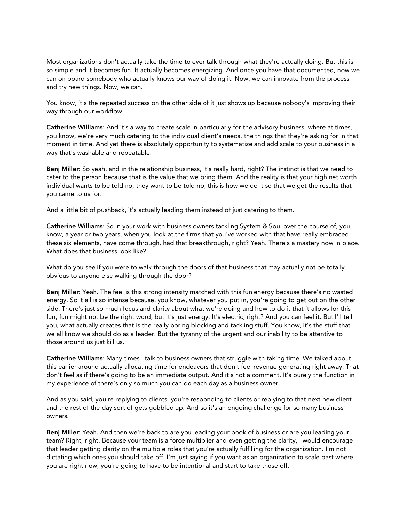Most organizations don't actually take the time to ever talk through what they're actually doing. But this is so simple and it becomes fun. It actually becomes energizing. And once you have that documented, now we can on board somebody who actually knows our way of doing it. Now, we can innovate from the process and try new things. Now, we can.

You know, it's the repeated success on the other side of it just shows up because nobody's improving their way through our workflow.

Catherine Williams: And it's a way to create scale in particularly for the advisory business, where at times, you know, we're very much catering to the individual client's needs, the things that they're asking for in that moment in time. And yet there is absolutely opportunity to systematize and add scale to your business in a way that's washable and repeatable.

Benj Miller: So yeah, and in the relationship business, it's really hard, right? The instinct is that we need to cater to the person because that is the value that we bring them. And the reality is that your high net worth individual wants to be told no, they want to be told no, this is how we do it so that we get the results that you came to us for.

And a little bit of pushback, it's actually leading them instead of just catering to them.

Catherine Williams: So in your work with business owners tackling System & Soul over the course of, you know, a year or two years, when you look at the firms that you've worked with that have really embraced these six elements, have come through, had that breakthrough, right? Yeah. There's a mastery now in place. What does that business look like?

What do you see if you were to walk through the doors of that business that may actually not be totally obvious to anyone else walking through the door?

Benj Miller: Yeah. The feel is this strong intensity matched with this fun energy because there's no wasted energy. So it all is so intense because, you know, whatever you put in, you're going to get out on the other side. There's just so much focus and clarity about what we're doing and how to do it that it allows for this fun, fun might not be the right word, but it's just energy. It's electric, right? And you can feel it. But I'll tell you, what actually creates that is the really boring blocking and tackling stuff. You know, it's the stuff that we all know we should do as a leader. But the tyranny of the urgent and our inability to be attentive to those around us just kill us.

Catherine Williams: Many times I talk to business owners that struggle with taking time. We talked about this earlier around actually allocating time for endeavors that don't feel revenue generating right away. That don't feel as if there's going to be an immediate output. And it's not a comment. It's purely the function in my experience of there's only so much you can do each day as a business owner.

And as you said, you're replying to clients, you're responding to clients or replying to that next new client and the rest of the day sort of gets gobbled up. And so it's an ongoing challenge for so many business owners.

Benj Miller: Yeah. And then we're back to are you leading your book of business or are you leading your team? Right, right. Because your team is a force multiplier and even getting the clarity, I would encourage that leader getting clarity on the multiple roles that you're actually fulfilling for the organization. I'm not dictating which ones you should take off. I'm just saying if you want as an organization to scale past where you are right now, you're going to have to be intentional and start to take those off.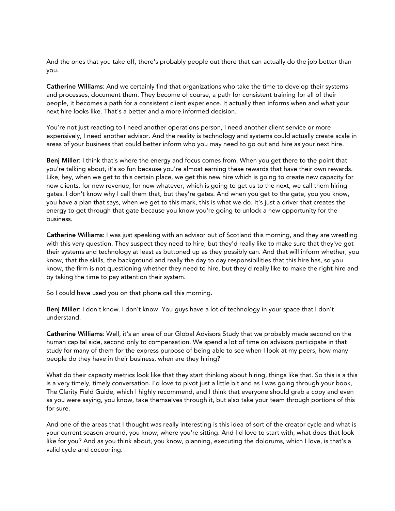And the ones that you take off, there's probably people out there that can actually do the job better than you.

Catherine Williams: And we certainly find that organizations who take the time to develop their systems and processes, document them. They become of course, a path for consistent training for all of their people, it becomes a path for a consistent client experience. It actually then informs when and what your next hire looks like. That's a better and a more informed decision.

You're not just reacting to I need another operations person, I need another client service or more expensively, I need another advisor. And the reality is technology and systems could actually create scale in areas of your business that could better inform who you may need to go out and hire as your next hire.

Benj Miller: I think that's where the energy and focus comes from. When you get there to the point that you're talking about, it's so fun because you're almost earning these rewards that have their own rewards. Like, hey, when we get to this certain place, we get this new hire which is going to create new capacity for new clients, for new revenue, for new whatever, which is going to get us to the next, we call them hiring gates. I don't know why I call them that, but they're gates. And when you get to the gate, you you know, you have a plan that says, when we get to this mark, this is what we do. It's just a driver that creates the energy to get through that gate because you know you're going to unlock a new opportunity for the business.

Catherine Williams: I was just speaking with an advisor out of Scotland this morning, and they are wrestling with this very question. They suspect they need to hire, but they'd really like to make sure that they've got their systems and technology at least as buttoned up as they possibly can. And that will inform whether, you know, that the skills, the background and really the day to day responsibilities that this hire has, so you know, the firm is not questioning whether they need to hire, but they'd really like to make the right hire and by taking the time to pay attention their system.

So I could have used you on that phone call this morning.

Benj Miller: I don't know. I don't know. You guys have a lot of technology in your space that I don't understand.

Catherine Williams: Well, it's an area of our Global Advisors Study that we probably made second on the human capital side, second only to compensation. We spend a lot of time on advisors participate in that study for many of them for the express purpose of being able to see when I look at my peers, how many people do they have in their business, when are they hiring?

What do their capacity metrics look like that they start thinking about hiring, things like that. So this is a this is a very timely, timely conversation. I'd love to pivot just a little bit and as I was going through your book, The Clarity Field Guide, which I highly recommend, and I think that everyone should grab a copy and even as you were saying, you know, take themselves through it, but also take your team through portions of this for sure.

And one of the areas that I thought was really interesting is this idea of sort of the creator cycle and what is your current season around, you know, where you're sitting. And I'd love to start with, what does that look like for you? And as you think about, you know, planning, executing the doldrums, which I love, is that's a valid cycle and cocooning.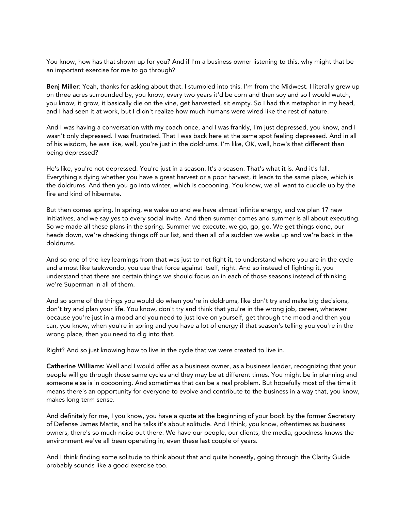You know, how has that shown up for you? And if I'm a business owner listening to this, why might that be an important exercise for me to go through?

Benj Miller: Yeah, thanks for asking about that. I stumbled into this. I'm from the Midwest. I literally grew up on three acres surrounded by, you know, every two years it'd be corn and then soy and so I would watch, you know, it grow, it basically die on the vine, get harvested, sit empty. So I had this metaphor in my head, and I had seen it at work, but I didn't realize how much humans were wired like the rest of nature.

And I was having a conversation with my coach once, and I was frankly, I'm just depressed, you know, and I wasn't only depressed. I was frustrated. That I was back here at the same spot feeling depressed. And in all of his wisdom, he was like, well, you're just in the doldrums. I'm like, OK, well, how's that different than being depressed?

He's like, you're not depressed. You're just in a season. It's a season. That's what it is. And it's fall. Everything's dying whether you have a great harvest or a poor harvest, it leads to the same place, which is the doldrums. And then you go into winter, which is cocooning. You know, we all want to cuddle up by the fire and kind of hibernate.

But then comes spring. In spring, we wake up and we have almost infinite energy, and we plan 17 new initiatives, and we say yes to every social invite. And then summer comes and summer is all about executing. So we made all these plans in the spring. Summer we execute, we go, go, go. We get things done, our heads down, we're checking things off our list, and then all of a sudden we wake up and we're back in the doldrums.

And so one of the key learnings from that was just to not fight it, to understand where you are in the cycle and almost like taekwondo, you use that force against itself, right. And so instead of fighting it, you understand that there are certain things we should focus on in each of those seasons instead of thinking we're Superman in all of them.

And so some of the things you would do when you're in doldrums, like don't try and make big decisions, don't try and plan your life. You know, don't try and think that you're in the wrong job, career, whatever because you're just in a mood and you need to just love on yourself, get through the mood and then you can, you know, when you're in spring and you have a lot of energy if that season's telling you you're in the wrong place, then you need to dig into that.

Right? And so just knowing how to live in the cycle that we were created to live in.

Catherine Williams: Well and I would offer as a business owner, as a business leader, recognizing that your people will go through those same cycles and they may be at different times. You might be in planning and someone else is in cocooning. And sometimes that can be a real problem. But hopefully most of the time it means there's an opportunity for everyone to evolve and contribute to the business in a way that, you know, makes long term sense.

And definitely for me, I you know, you have a quote at the beginning of your book by the former Secretary of Defense James Mattis, and he talks it's about solitude. And I think, you know, oftentimes as business owners, there's so much noise out there. We have our people, our clients, the media, goodness knows the environment we've all been operating in, even these last couple of years.

And I think finding some solitude to think about that and quite honestly, going through the Clarity Guide probably sounds like a good exercise too.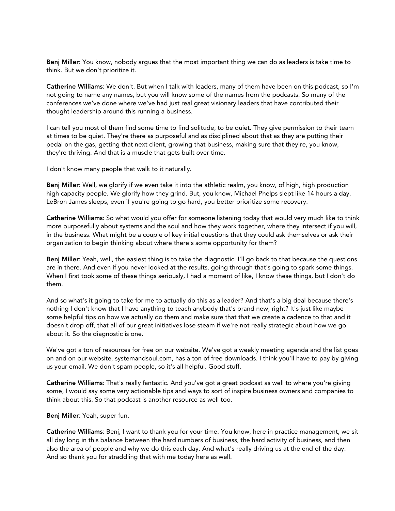Benj Miller: You know, nobody argues that the most important thing we can do as leaders is take time to think. But we don't prioritize it.

Catherine Williams: We don't. But when I talk with leaders, many of them have been on this podcast, so I'm not going to name any names, but you will know some of the names from the podcasts. So many of the conferences we've done where we've had just real great visionary leaders that have contributed their thought leadership around this running a business.

I can tell you most of them find some time to find solitude, to be quiet. They give permission to their team at times to be quiet. They're there as purposeful and as disciplined about that as they are putting their pedal on the gas, getting that next client, growing that business, making sure that they're, you know, they're thriving. And that is a muscle that gets built over time.

I don't know many people that walk to it naturally.

Benj Miller: Well, we glorify if we even take it into the athletic realm, you know, of high, high production high capacity people. We glorify how they grind. But, you know, Michael Phelps slept like 14 hours a day. LeBron James sleeps, even if you're going to go hard, you better prioritize some recovery.

Catherine Williams: So what would you offer for someone listening today that would very much like to think more purposefully about systems and the soul and how they work together, where they intersect if you will, in the business. What might be a couple of key initial questions that they could ask themselves or ask their organization to begin thinking about where there's some opportunity for them?

Benj Miller: Yeah, well, the easiest thing is to take the diagnostic. I'll go back to that because the questions are in there. And even if you never looked at the results, going through that's going to spark some things. When I first took some of these things seriously, I had a moment of like, I know these things, but I don't do them.

And so what's it going to take for me to actually do this as a leader? And that's a big deal because there's nothing I don't know that I have anything to teach anybody that's brand new, right? It's just like maybe some helpful tips on how we actually do them and make sure that that we create a cadence to that and it doesn't drop off, that all of our great initiatives lose steam if we're not really strategic about how we go about it. So the diagnostic is one.

We've got a ton of resources for free on our website. We've got a weekly meeting agenda and the list goes on and on our website, systemandsoul.com, has a ton of free downloads. I think you'll have to pay by giving us your email. We don't spam people, so it's all helpful. Good stuff.

Catherine Williams: That's really fantastic. And you've got a great podcast as well to where you're giving some, I would say some very actionable tips and ways to sort of inspire business owners and companies to think about this. So that podcast is another resource as well too.

Benj Miller: Yeah, super fun.

Catherine Williams: Benj, I want to thank you for your time. You know, here in practice management, we sit all day long in this balance between the hard numbers of business, the hard activity of business, and then also the area of people and why we do this each day. And what's really driving us at the end of the day. And so thank you for straddling that with me today here as well.